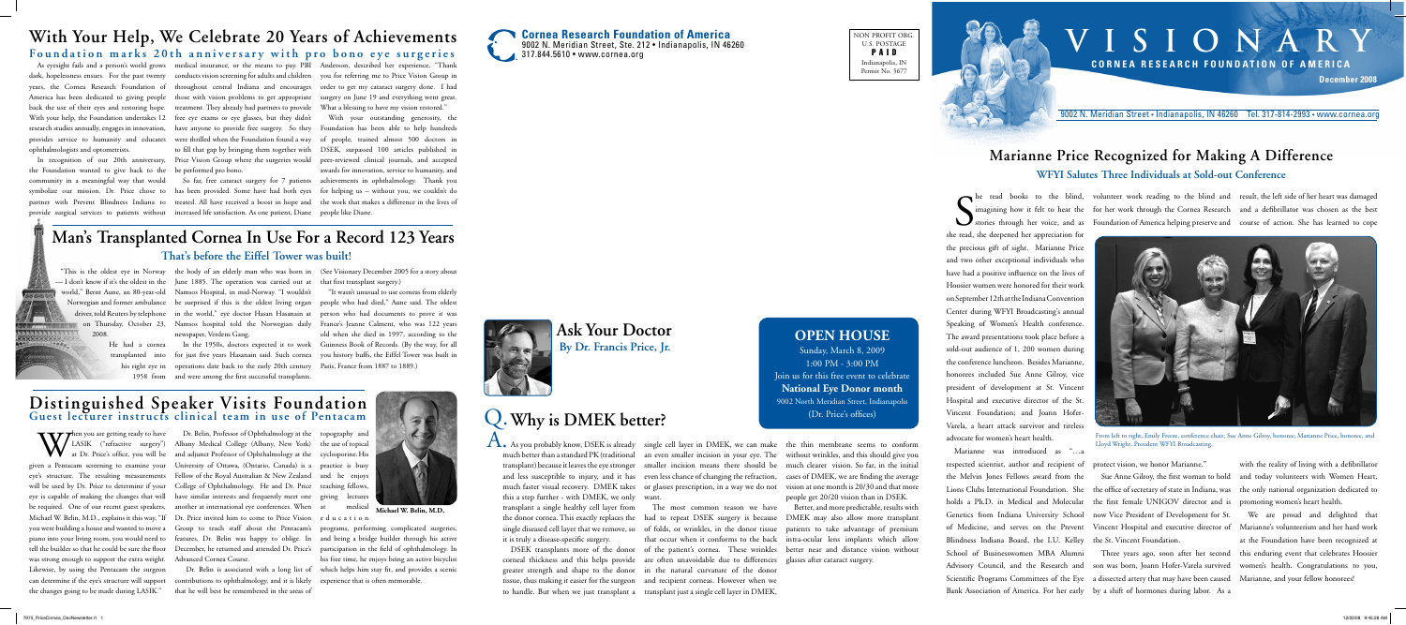

NON PROFIT ORG. U.S. POSTAGE P A I D Indianapolis, IN Permit No. 5677

# **V I S I O N A R Y C o r n e a R e s e arc h F o u n d at i o n o f A m e r i ca**









9002 N. Meridian Street • Indianapolis, IN 46260 Tel. 317-814-2993 • www.cornea.org

S she read, she deepened her appreciation for the precious gift of sight. Marianne Price and two other exceptional individuals who have had a positive influence on the lives of Hoosier women were honored for their work on September 12th at the Indiana Convention Center during WFYI Broadcasting's annual Speaking of Women's Health conference. The award presentations took place before a sold-out audience of 1, 200 women during the conference luncheon. Besides Marianne, honorees included Sue Anne Gilroy, vice president of development at St. Vincent Hospital and executive director of the St. Vincent Foundation; and Joann Hofer-Varela, a heart attack survivor and tireless advocate for women's heart health.

> We are proud and delighted that at the Foundation have been recognized at

he read books to the blind, volunteer work reading to the blind and result, the left side of her heart was damaged imagining how it felt to hear the for her work through the Cornea Research and a defibrillator was chosen as the best stories through her voice, and as Foundation of America helping preserve and course of action. She has learned to cope

A. As you probably know, DSEK is already single cell layer in DMEK, we can make the thin membrane seems to conform this a step further - with DMEK, we only transplant a single healthy cell layer from it is truly a disease-specific surgery.

Marianne was introduced as "…a respected scientist, author and recipient of the Melvin Jones Fellows award from the Lions Clubs International Foundation. She the office of secretary of state in Indiana, was the only national organization dedicated to holds a Ph.D. in Medical and Molecular the first female UNIGOV director and is promoting women's heart health. Genetics from Indiana University School now Vice President of Development for St. of Medicine, and serves on the Prevent Vincent Hospital and executive director of Marianne's volunteerism and her hard work Blindness Indiana Board, the I.U. Kelley the St. Vincent Foundation. School of Businesswomen MBA Alumni Bank Association of America. For her early by a shift of hormones during labor. As a

protect vision, we honor Marianne."

Advisory Council, and the Research and son was born, Joann Hofer-Varela survived women's health. Congratulations to you, Scientific Programs Committees of the Eye a dissected artery that may have been caused Marianne, and your fellow honorees! Three years ago, soon after her second this enduring event that celebrates Hoosier

Sue Anne Gilroy, the first woman to hold and today volunteers with Women Heart,

with the reality of living with a defibrillator

# **Marianne Price Recognized for Making A Difference WFYI Salutes Three Individuals at Sold-out Conference**

much better than a standard PK (traditional an even smaller incision in your eye. The without wrinkles, and this should give you transplant) because it leaves the eye stronger smaller incision means there should be much clearer vision. So far, in the initial and less susceptible to injury, and it has even less chance of changing the refraction, cases of DMEK, we are finding the average much faster visual recovery. DMEK takes or glasses prescription, in a way we do not vision at one month is 20/30 and that more people get 20/20 vision than in DSEK.

corneal thickness and this helps provide are often unavoidable due to differences glasses after cataract surgery. greater strength and shape to the donor in the natural curvature of the donor tissue, thus making it easier for the surgeon and recipient corneas. However when we to handle. But when we just transplant a transplant just a single cell layer in DMEK,

want.

The most common reason we have

the donor cornea. This exactly replaces the had to repeat DSEK surgery is because DMEK may also allow more transplant single diseased cell layer that we remove, so of folds, or wrinkles, in the donor tissue patients to take advantage of premium DSEK transplants more of the donor of the patient's cornea. These wrinkles better near and distance vision without that occur when it conforms to the back intra-ocular lens implants which allow Better, and more predictable, results with

When you are getting ready to have<br>at Dr. Price's office, you will be<br>can a Pentasem screening to examine your LASIK ("refractive surgery") at Dr. Price's office, you will be was strong enough to support the extra weight. Advanced Cornea Course. Likewise, by using the Pentacam the surgeon

## **Ask Your Doctor By Dr. Francis Price, Jr.**

topography and the use of topical cyclosporine. His and he enjoys medical

ophthalmologists and optometrists.

back the use of their eyes and restoring hope. treatment. They already had partners to provide What a blessing to have my vision restored." With your help, the Foundation undertakes 12 free eye exams or eye glasses, but they didn't

As eyesight fails and a person's world grows medical insurance, or the means to pay. PBI Anderson, described her experience, "Thank dark, hopelessness ensues. For the past twenty conducts vision screening for adults and children you for referring me to Price Vision Group in years, the Cornea Research Foundation of throughout central Indiana and encourages order to get my cataract surgery done. I had America has been dedicated to giving people those with vision problems to get appropriate surgery on June 19 and everything went great.

the Foundation wanted to give back to the be performed pro bono.

research studies annually, engages in innovation, have anyone to provide free surgery. So they Foundation has been able to help hundreds provides service to humanity and educates were thrilled when the Foundation found a way of people, trained almost 500 doctors in In recognition of our 20th anniversary, Price Vision Group where the surgeries would peer-reviewed clinical journals, and accepted to fill that gap by bringing them together with DSEK, surpassed 100 articles published in With your outstanding generosity, the awards for innovation, service to humanity, and

community in a meaningful way that would So far, free cataract surgery for 7 patients achievements in ophthalmology. Thank you symbolize our mission. Dr. Price chose to has been provided. Some have had both eyes for helping us – without you, we couldn't do partner with Prevent Blindness Indiana to treated. All have received a boost in hope and the work that makes a difference in the lives of provide surgical services to patients without increased life satisfaction. As one patient, Diane people like Diane.

# **With Your Help, We Celebrate 20 Years of Achievements**

Foundation marks 20th anniversary with pro bono eye surgeries



From left to right, Emily Freeze, conference chair; Sue Anne Gilroy, honoree; Marianne Price, honoree, and Lloyd Wright, President WFYI Broadcasting.

2008.

transplanted into

— I don't know if it's the oldest in the June 1885. The operation was carried out at that first transplant surgery.) world," Bernt Aune, an 80-year-old Namsos Hospital, in mid-Norway. "I wouldn't newspaper, Verdens Gang.

"This is the oldest eye in Norway the body of an elderly man who was born in (See Visionary December 2005 for a story about

his right eye in operations date back to the early 20th century Paris, France from 1887 to 1889.) 1958 from and were among the first successful transplants.

Norwegian and former ambulance be surprised if this is the oldest living organ people who had died," Aune said. The oldest driver, told Reuters by telephone in the world," eye doctor Hasan Hasanain at person who had documents to prove it was on Thursday, October 23, Namsos hospital told the Norwegian daily France's Jeanne Calment, who was 122 years He had a cornea In the 1950s, doctors expected it to work Guinness Book of Records. (By the way, for all for just five years Hasanain said. Such cornea you history buffs, the Eiffel Tower was built in "It wasn't unusual to use corneas from elderly old when she died in 1997, according to the

## **Man's Transplanted Cornea In Use For a Record 123 Years That's before the Eiffel Tower was built!**

given a Pentacam screening to examine your University of Ottawa, (Ontario, Canada) is a practice is busy eye's structure. The resulting measurements Fellow of the Royal Australian & New Zealand will be used by Dr. Price to determine if your College of Ophthalmology. He and Dr. Price teaching fellows, eye is capable of making the changes that will have similar interests and frequently meet one giving lectures be required. One of our recent guest speakers, another at international eye conferences. When Michael W. Belin, M.D., explains it this way, "If Dr. Price invited him to come to Price Vision you were building a house and wanted to move a Group to teach staff about the Pentacam's piano into your living room, you would need to features, Dr. Belin was happy to oblige. In and being a bridge builder through his active tell the builder so that he could be sure the floor December, he returned and attended Dr. Price's participation in the field of ophthalmology. In Dr. Belin, Professor of Ophthalmology at the Albany Medical College (Albany, New York) and adjunct Professor of Ophthalmology at the

can determine if the eye's structure will support contributions to ophthalmology, and it is likely the changes going to be made during LASIK." that he will best be remembered in the areas of

 Dr. Belin is associated with a long list of which helps him stay fit, and provides a scenic programs, performing complicated surgeries, his free time, he enjoys being an active bicyclist experience that is often memorable.

e d u c a t i o n

# Q.**Why is DMEK better?**

### **Distinguished Speaker Visits Foundation Guest lecturer instructs clinical team in use of Pentacam**

**Michael W. Belin, M.D.**





Sunday, March 8, 2009 1:00 PM - 3:00 PM Join us for this free event to celebrate **National Eye Donor month** 9002 North Meridian Street, Indianapolis (Dr. Price's offices)